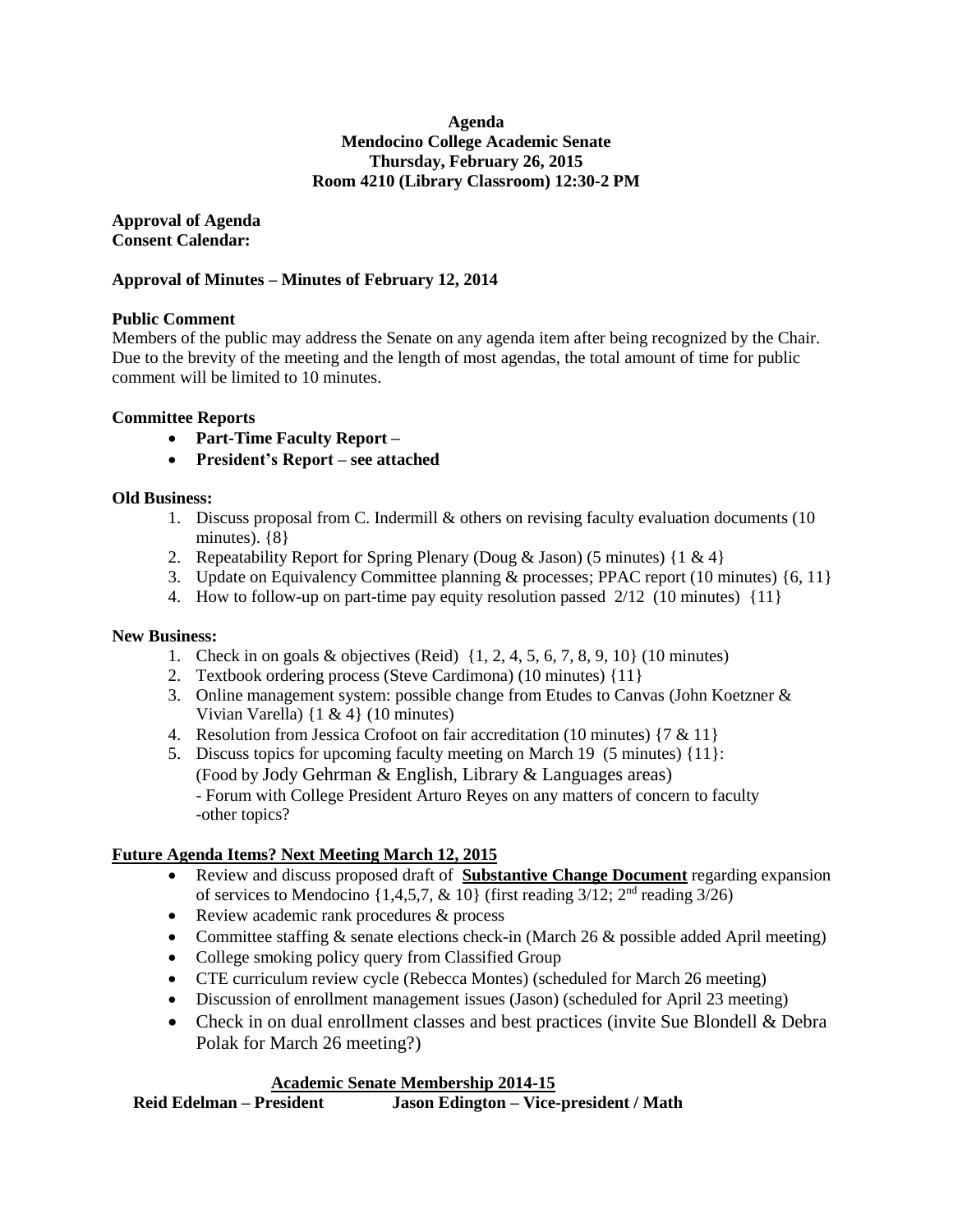#### **Agenda Mendocino College Academic Senate Thursday, February 26, 2015 Room 4210 (Library Classroom) 12:30-2 PM**

**Approval of Agenda Consent Calendar:**

#### **Approval of Minutes – Minutes of February 12, 2014**

#### **Public Comment**

Members of the public may address the Senate on any agenda item after being recognized by the Chair. Due to the brevity of the meeting and the length of most agendas, the total amount of time for public comment will be limited to 10 minutes.

#### **Committee Reports**

- **Part-Time Faculty Report –**
- **President's Report – see attached**

#### **Old Business:**

- 1. Discuss proposal from C. Indermill & others on revising faculty evaluation documents (10 minutes). {8}
- 2. Repeatability Report for Spring Plenary (Doug & Jason) (5 minutes)  $\{1 \& 4\}$
- 3. Update on Equivalency Committee planning & processes; PPAC report (10 minutes) {6, 11}
- 4. How to follow-up on part-time pay equity resolution passed 2/12 (10 minutes) {11}

#### **New Business:**

- 1. Check in on goals & objectives (Reid) {1, 2, 4, 5, 6, 7, 8, 9, 10} (10 minutes)
- 2. Textbook ordering process (Steve Cardimona) (10 minutes) {11}
- 3. Online management system: possible change from Etudes to Canvas (John Koetzner & Vivian Varella)  $\{1 \& 4\}$  (10 minutes)
- 4. Resolution from Jessica Crofoot on fair accreditation (10 minutes) {7 & 11}
- 5. Discuss topics for upcoming faculty meeting on March 19 (5 minutes) {11}: (Food by Jody Gehrman & English, Library & Languages areas) - Forum with College President Arturo Reyes on any matters of concern to faculty -other topics?

#### **Future Agenda Items? Next Meeting March 12, 2015**

- Review and discuss proposed draft of **Substantive Change Document** regarding expansion of services to Mendocino  $\{1,4,5,7, \& 10\}$  (first reading  $3/12$ ; 2<sup>nd</sup> reading  $3/26$ )
- Review academic rank procedures & process
- Committee staffing  $&$  senate elections check-in (March 26  $&$  possible added April meeting)
- College smoking policy query from Classified Group
- CTE curriculum review cycle (Rebecca Montes) (scheduled for March 26 meeting)
- Discussion of enrollment management issues (Jason) (scheduled for April 23 meeting)
- Check in on dual enrollment classes and best practices (invite Sue Blondell & Debra Polak for March 26 meeting?)

#### **Academic Senate Membership 2014-15**

**Reid Edelman – President Jason Edington – Vice-president / Math**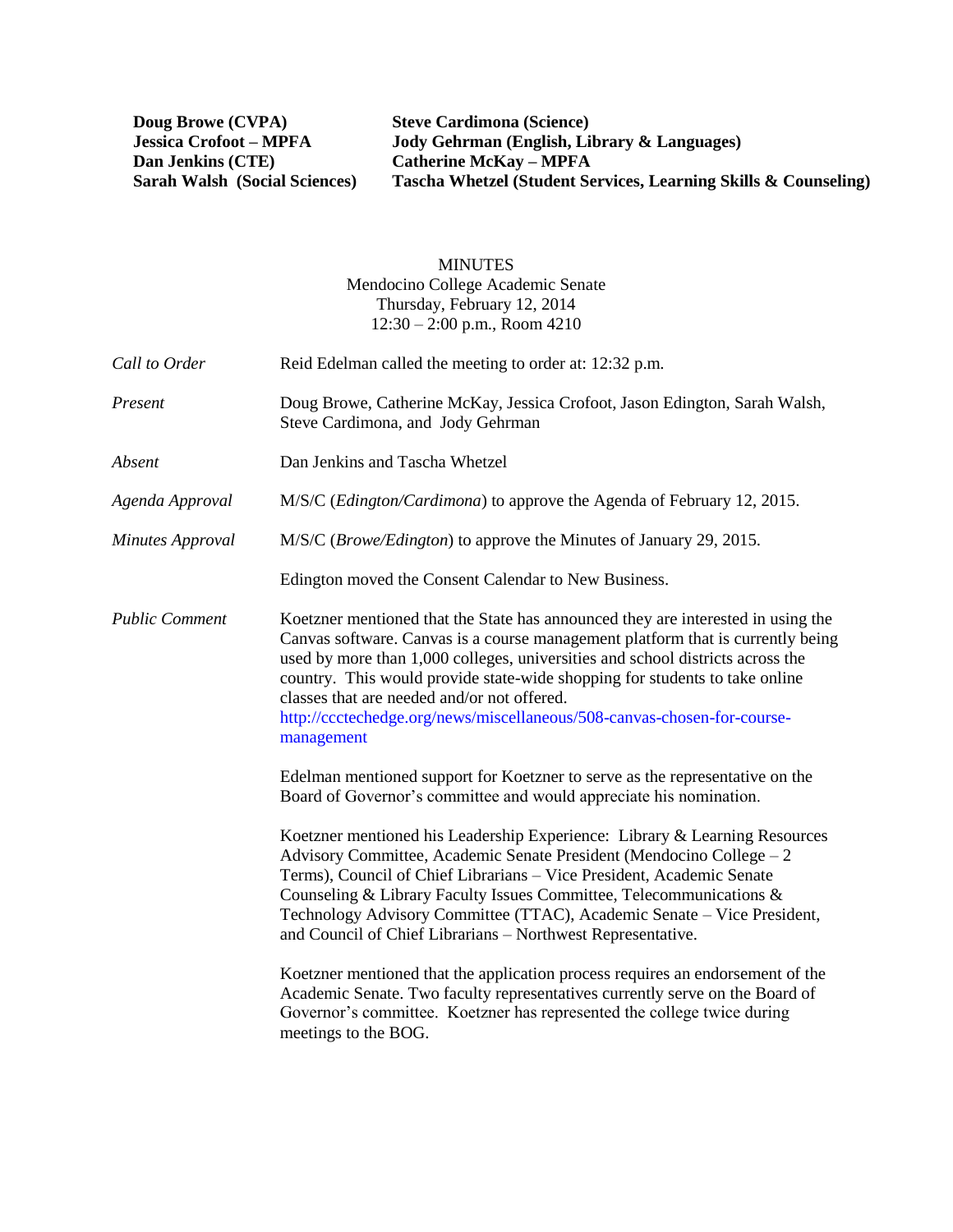**Doug Browe (CVPA) Steve Cardimona (Science) Dan Jenkins (CTE) Catherine McKay – MPFA**

**Jessica Crofoot – MPFA Jody Gehrman (English, Library & Languages) Tascha Whetzel (Student Services, Learning Skills & Counseling)** 

#### MINUTES Mendocino College Academic Senate Thursday, February 12, 2014 12:30 – 2:00 p.m., Room 4210

| Call to Order           | Reid Edelman called the meeting to order at: 12:32 p.m.                                                                                                                                                                                                                                                                                                                                                                                                                      |  |
|-------------------------|------------------------------------------------------------------------------------------------------------------------------------------------------------------------------------------------------------------------------------------------------------------------------------------------------------------------------------------------------------------------------------------------------------------------------------------------------------------------------|--|
| Present                 | Doug Browe, Catherine McKay, Jessica Crofoot, Jason Edington, Sarah Walsh,<br>Steve Cardimona, and Jody Gehrman                                                                                                                                                                                                                                                                                                                                                              |  |
| Absent                  | Dan Jenkins and Tascha Whetzel                                                                                                                                                                                                                                                                                                                                                                                                                                               |  |
| Agenda Approval         | M/S/C (Edington/Cardimona) to approve the Agenda of February 12, 2015.                                                                                                                                                                                                                                                                                                                                                                                                       |  |
| <b>Minutes Approval</b> | M/S/C ( <i>Browe/Edington</i> ) to approve the Minutes of January 29, 2015.                                                                                                                                                                                                                                                                                                                                                                                                  |  |
|                         | Edington moved the Consent Calendar to New Business.                                                                                                                                                                                                                                                                                                                                                                                                                         |  |
| <b>Public Comment</b>   | Koetzner mentioned that the State has announced they are interested in using the<br>Canvas software. Canvas is a course management platform that is currently being<br>used by more than 1,000 colleges, universities and school districts across the<br>country. This would provide state-wide shopping for students to take online<br>classes that are needed and/or not offered.<br>http://ccctechedge.org/news/miscellaneous/508-canvas-chosen-for-course-<br>management |  |
|                         | Edelman mentioned support for Koetzner to serve as the representative on the<br>Board of Governor's committee and would appreciate his nomination.                                                                                                                                                                                                                                                                                                                           |  |
|                         | Koetzner mentioned his Leadership Experience: Library & Learning Resources<br>Advisory Committee, Academic Senate President (Mendocino College – 2<br>Terms), Council of Chief Librarians - Vice President, Academic Senate<br>Counseling & Library Faculty Issues Committee, Telecommunications &<br>Technology Advisory Committee (TTAC), Academic Senate - Vice President,<br>and Council of Chief Librarians - Northwest Representative.                                 |  |
|                         | Koetzner mentioned that the application process requires an endorsement of the<br>Academic Senate. Two faculty representatives currently serve on the Board of<br>Governor's committee. Koetzner has represented the college twice during<br>meetings to the BOG.                                                                                                                                                                                                            |  |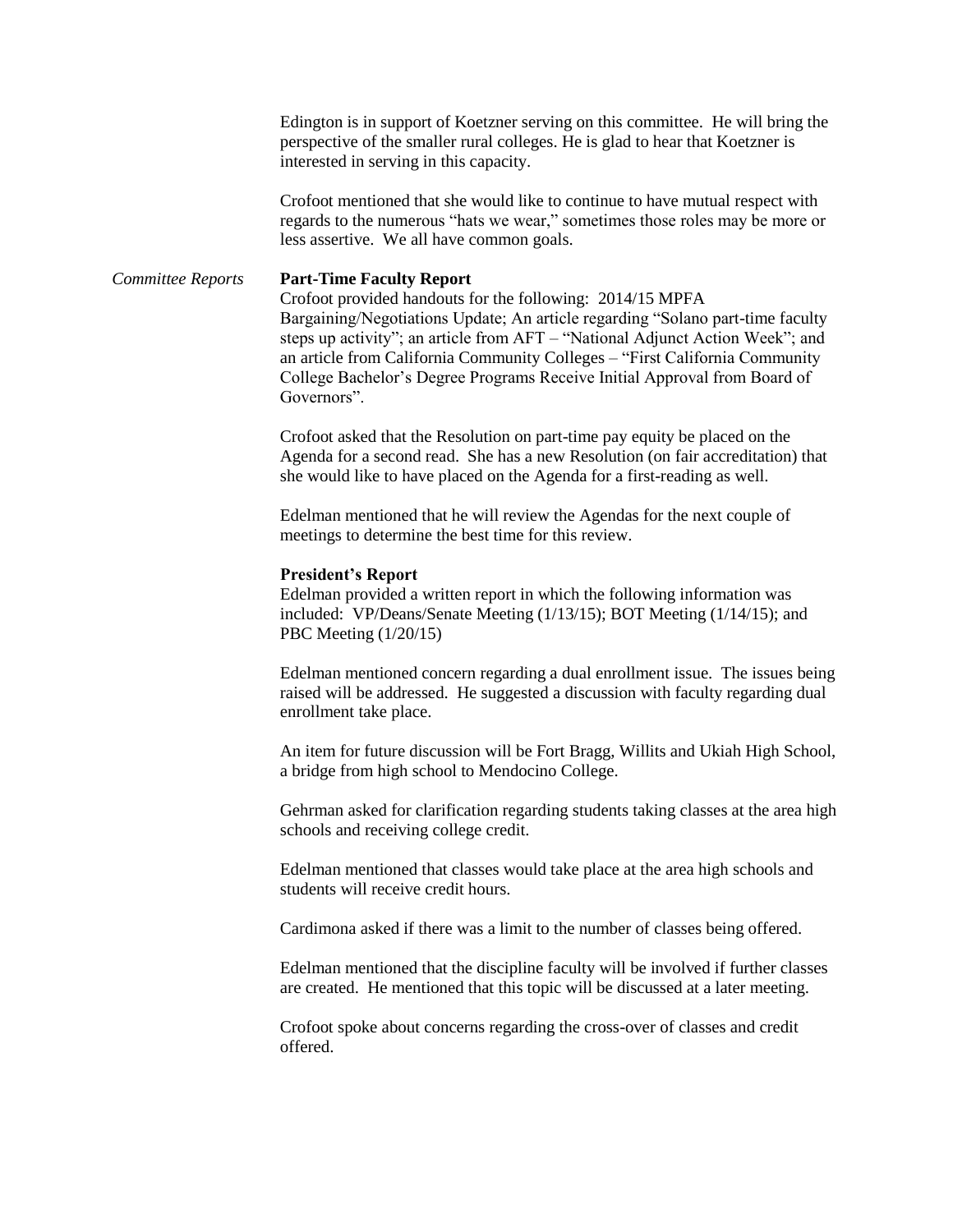Edington is in support of Koetzner serving on this committee. He will bring the perspective of the smaller rural colleges. He is glad to hear that Koetzner is interested in serving in this capacity.

Crofoot mentioned that she would like to continue to have mutual respect with regards to the numerous "hats we wear," sometimes those roles may be more or less assertive. We all have common goals.

#### *Committee Reports* **Part-Time Faculty Report**

Crofoot provided handouts for the following: 2014/15 MPFA Bargaining/Negotiations Update; An article regarding "Solano part-time faculty steps up activity"; an article from AFT – "National Adjunct Action Week"; and an article from California Community Colleges – "First California Community College Bachelor's Degree Programs Receive Initial Approval from Board of Governors".

Crofoot asked that the Resolution on part-time pay equity be placed on the Agenda for a second read. She has a new Resolution (on fair accreditation) that she would like to have placed on the Agenda for a first-reading as well.

Edelman mentioned that he will review the Agendas for the next couple of meetings to determine the best time for this review.

#### **President's Report**

Edelman provided a written report in which the following information was included: VP/Deans/Senate Meeting (1/13/15); BOT Meeting (1/14/15); and PBC Meeting (1/20/15)

Edelman mentioned concern regarding a dual enrollment issue. The issues being raised will be addressed. He suggested a discussion with faculty regarding dual enrollment take place.

An item for future discussion will be Fort Bragg, Willits and Ukiah High School, a bridge from high school to Mendocino College.

Gehrman asked for clarification regarding students taking classes at the area high schools and receiving college credit.

Edelman mentioned that classes would take place at the area high schools and students will receive credit hours.

Cardimona asked if there was a limit to the number of classes being offered.

Edelman mentioned that the discipline faculty will be involved if further classes are created. He mentioned that this topic will be discussed at a later meeting.

Crofoot spoke about concerns regarding the cross-over of classes and credit offered.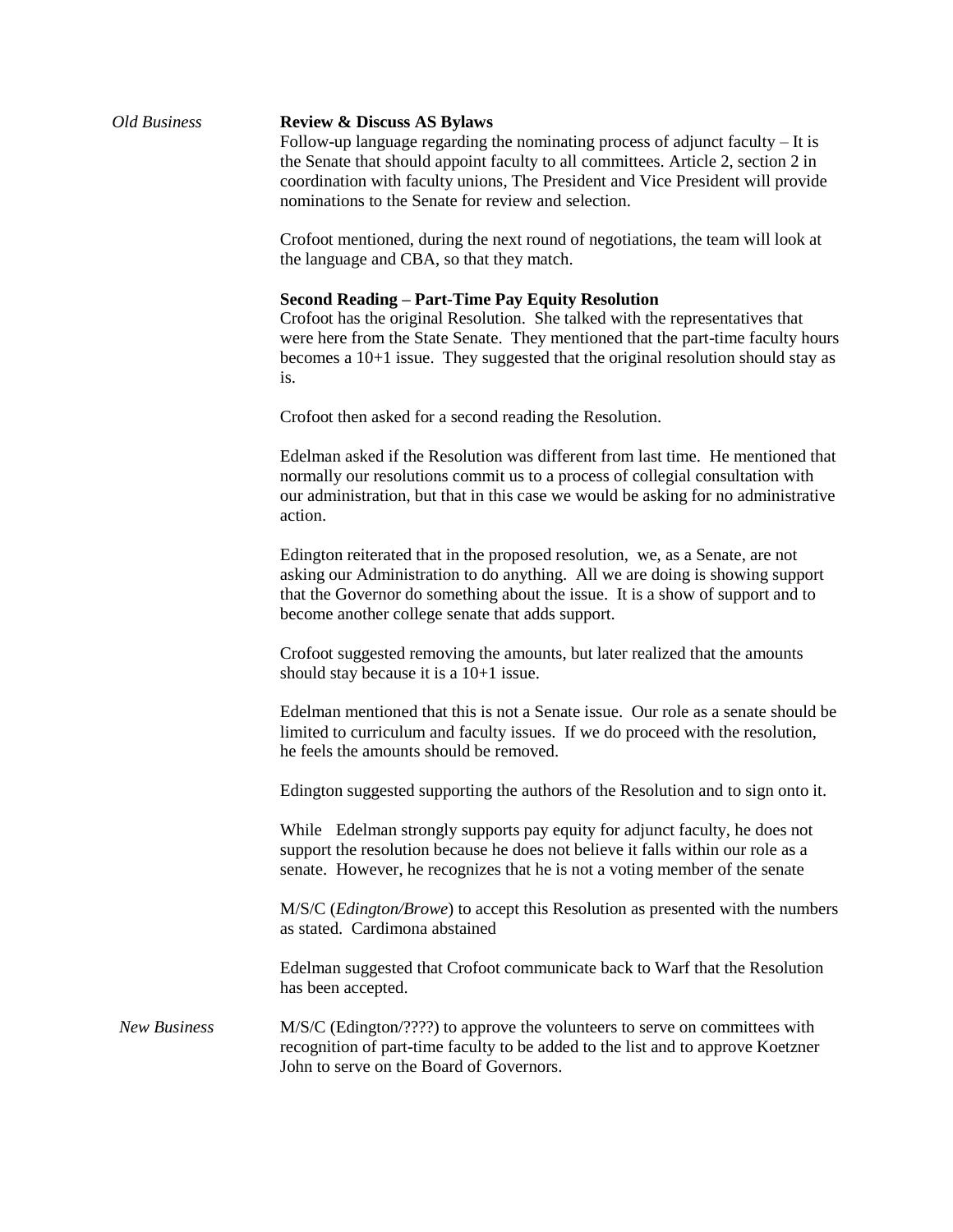#### *Old Business* **Review & Discuss AS Bylaws**  Follow-up language regarding the nominating process of adjunct faculty – It is the Senate that should appoint faculty to all committees. Article 2, section 2 in

coordination with faculty unions, The President and Vice President will provide nominations to the Senate for review and selection.

Crofoot mentioned, during the next round of negotiations, the team will look at the language and CBA, so that they match.

#### **Second Reading – Part-Time Pay Equity Resolution**

Crofoot has the original Resolution. She talked with the representatives that were here from the State Senate. They mentioned that the part-time faculty hours becomes a 10+1 issue. They suggested that the original resolution should stay as is.

Crofoot then asked for a second reading the Resolution.

Edelman asked if the Resolution was different from last time. He mentioned that normally our resolutions commit us to a process of collegial consultation with our administration, but that in this case we would be asking for no administrative action.

Edington reiterated that in the proposed resolution, we, as a Senate, are not asking our Administration to do anything. All we are doing is showing support that the Governor do something about the issue. It is a show of support and to become another college senate that adds support.

Crofoot suggested removing the amounts, but later realized that the amounts should stay because it is a 10+1 issue.

Edelman mentioned that this is not a Senate issue. Our role as a senate should be limited to curriculum and faculty issues. If we do proceed with the resolution, he feels the amounts should be removed.

Edington suggested supporting the authors of the Resolution and to sign onto it.

While Edelman strongly supports pay equity for adjunct faculty, he does not support the resolution because he does not believe it falls within our role as a senate. However, he recognizes that he is not a voting member of the senate

M/S/C (*Edington/Browe*) to accept this Resolution as presented with the numbers as stated. Cardimona abstained

Edelman suggested that Crofoot communicate back to Warf that the Resolution has been accepted.

*New Business* M/S/C (Edington/????) to approve the volunteers to serve on committees with recognition of part-time faculty to be added to the list and to approve Koetzner John to serve on the Board of Governors.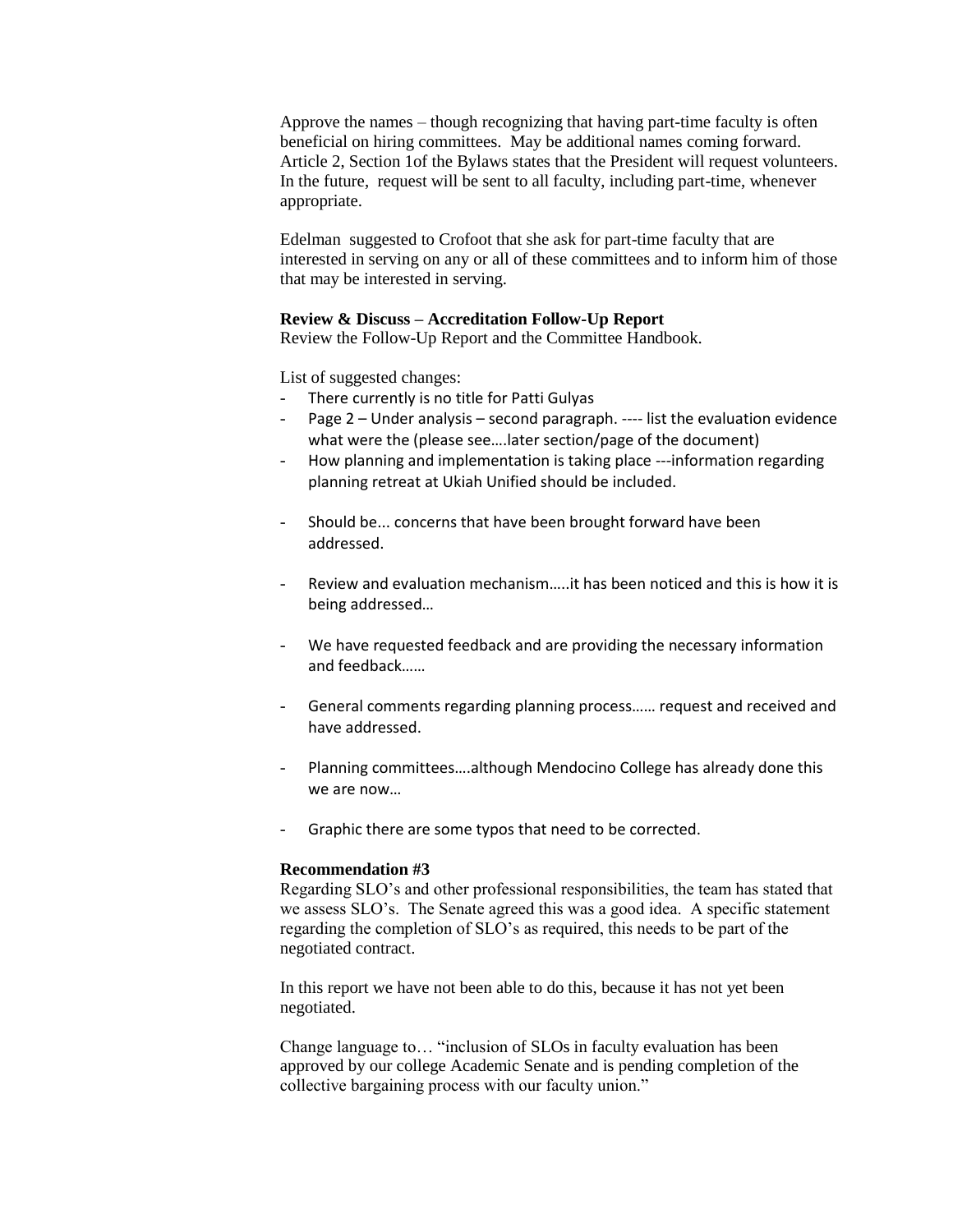Approve the names – though recognizing that having part-time faculty is often beneficial on hiring committees. May be additional names coming forward. Article 2, Section 1of the Bylaws states that the President will request volunteers. In the future, request will be sent to all faculty, including part-time, whenever appropriate.

Edelman suggested to Crofoot that she ask for part-time faculty that are interested in serving on any or all of these committees and to inform him of those that may be interested in serving.

#### **Review & Discuss – Accreditation Follow-Up Report**

Review the Follow-Up Report and the Committee Handbook.

List of suggested changes:

- There currently is no title for Patti Gulyas
- Page 2 Under analysis second paragraph. ---- list the evaluation evidence what were the (please see….later section/page of the document)
- How planning and implementation is taking place ---information regarding planning retreat at Ukiah Unified should be included.
- Should be... concerns that have been brought forward have been addressed.
- Review and evaluation mechanism.....it has been noticed and this is how it is being addressed…
- We have requested feedback and are providing the necessary information and feedback……
- General comments regarding planning process…… request and received and have addressed.
- Planning committees....although Mendocino College has already done this we are now…
- Graphic there are some typos that need to be corrected.

#### **Recommendation #3**

Regarding SLO's and other professional responsibilities, the team has stated that we assess SLO's. The Senate agreed this was a good idea. A specific statement regarding the completion of SLO's as required, this needs to be part of the negotiated contract.

In this report we have not been able to do this, because it has not yet been negotiated.

Change language to… "inclusion of SLOs in faculty evaluation has been approved by our college Academic Senate and is pending completion of the collective bargaining process with our faculty union."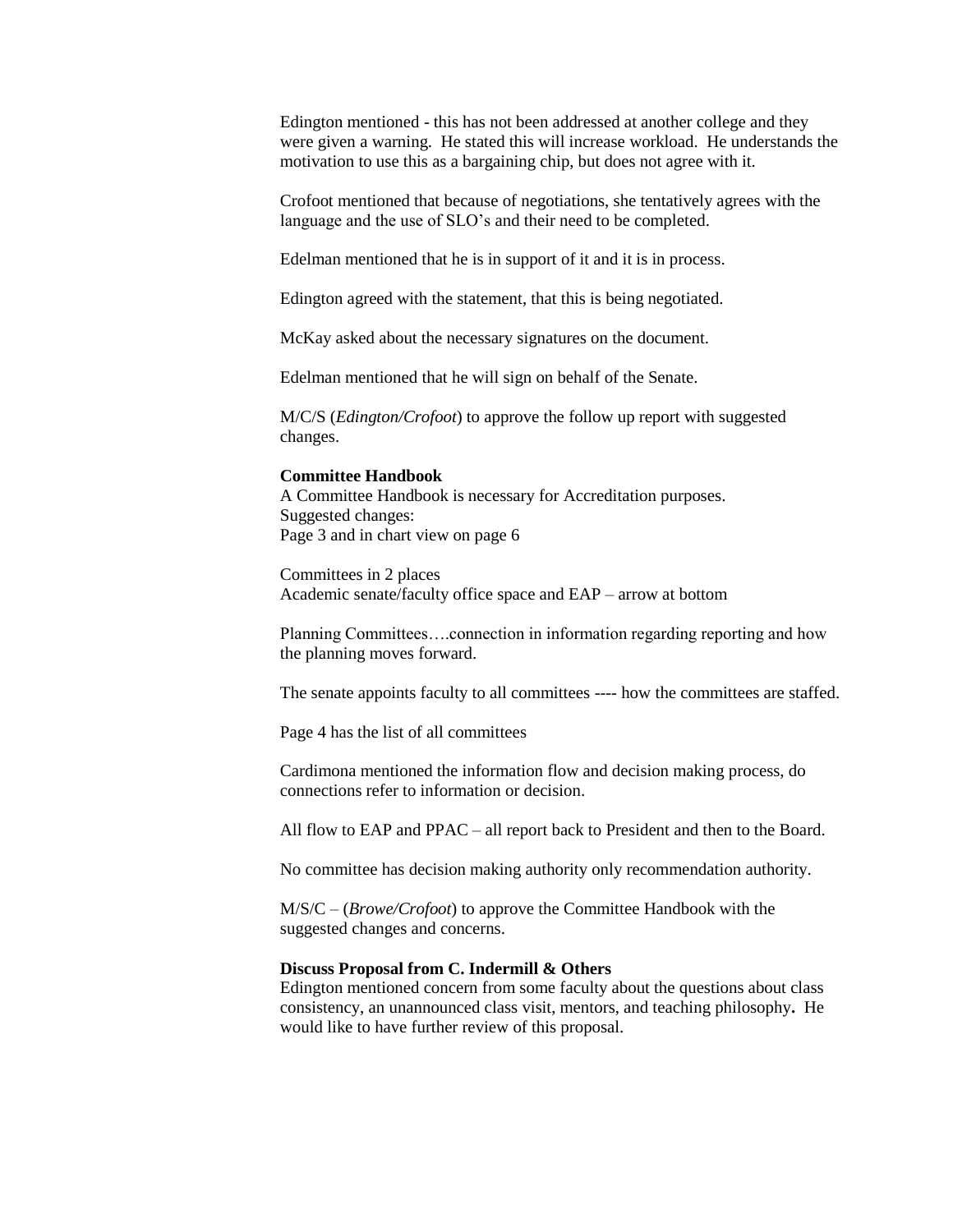Edington mentioned - this has not been addressed at another college and they were given a warning. He stated this will increase workload. He understands the motivation to use this as a bargaining chip, but does not agree with it.

Crofoot mentioned that because of negotiations, she tentatively agrees with the language and the use of SLO's and their need to be completed.

Edelman mentioned that he is in support of it and it is in process.

Edington agreed with the statement, that this is being negotiated.

McKay asked about the necessary signatures on the document.

Edelman mentioned that he will sign on behalf of the Senate.

M/C/S (*Edington/Crofoot*) to approve the follow up report with suggested changes.

#### **Committee Handbook**

A Committee Handbook is necessary for Accreditation purposes. Suggested changes: Page 3 and in chart view on page 6

Committees in 2 places Academic senate/faculty office space and EAP – arrow at bottom

Planning Committees….connection in information regarding reporting and how the planning moves forward.

The senate appoints faculty to all committees ---- how the committees are staffed.

Page 4 has the list of all committees

Cardimona mentioned the information flow and decision making process, do connections refer to information or decision.

All flow to EAP and PPAC – all report back to President and then to the Board.

No committee has decision making authority only recommendation authority.

M/S/C – (*Browe/Crofoot*) to approve the Committee Handbook with the suggested changes and concerns.

#### **Discuss Proposal from C. Indermill & Others**

Edington mentioned concern from some faculty about the questions about class consistency, an unannounced class visit, mentors, and teaching philosophy**.** He would like to have further review of this proposal.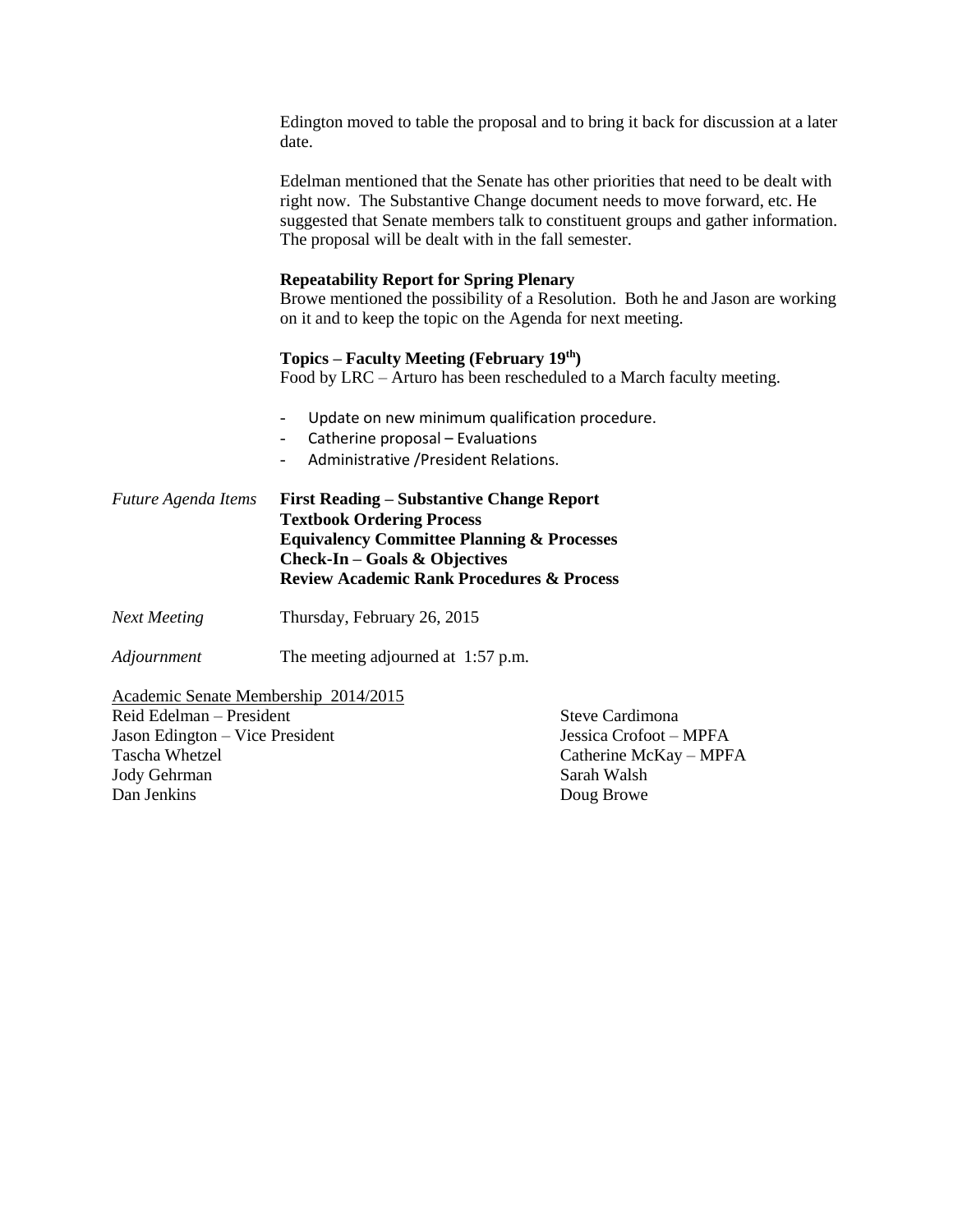|                                      | Edington moved to table the proposal and to bring it back for discussion at a later<br>date.<br>Edelman mentioned that the Senate has other priorities that need to be dealt with<br>right now. The Substantive Change document needs to move forward, etc. He<br>suggested that Senate members talk to constituent groups and gather information.<br>The proposal will be dealt with in the fall semester.<br><b>Repeatability Report for Spring Plenary</b><br>Browe mentioned the possibility of a Resolution. Both he and Jason are working<br>on it and to keep the topic on the Agenda for next meeting.<br>Topics – Faculty Meeting (February 19th)<br>Food by LRC – Arturo has been rescheduled to a March faculty meeting.<br>Update on new minimum qualification procedure.<br>Catherine proposal - Evaluations<br>Administrative / President Relations. |                        |  |
|--------------------------------------|--------------------------------------------------------------------------------------------------------------------------------------------------------------------------------------------------------------------------------------------------------------------------------------------------------------------------------------------------------------------------------------------------------------------------------------------------------------------------------------------------------------------------------------------------------------------------------------------------------------------------------------------------------------------------------------------------------------------------------------------------------------------------------------------------------------------------------------------------------------------|------------------------|--|
|                                      |                                                                                                                                                                                                                                                                                                                                                                                                                                                                                                                                                                                                                                                                                                                                                                                                                                                                    |                        |  |
|                                      |                                                                                                                                                                                                                                                                                                                                                                                                                                                                                                                                                                                                                                                                                                                                                                                                                                                                    |                        |  |
|                                      |                                                                                                                                                                                                                                                                                                                                                                                                                                                                                                                                                                                                                                                                                                                                                                                                                                                                    |                        |  |
|                                      |                                                                                                                                                                                                                                                                                                                                                                                                                                                                                                                                                                                                                                                                                                                                                                                                                                                                    |                        |  |
| Future Agenda Items                  | <b>First Reading – Substantive Change Report</b><br><b>Textbook Ordering Process</b><br><b>Equivalency Committee Planning &amp; Processes</b><br><b>Check-In - Goals &amp; Objectives</b><br><b>Review Academic Rank Procedures &amp; Process</b>                                                                                                                                                                                                                                                                                                                                                                                                                                                                                                                                                                                                                  |                        |  |
| <b>Next Meeting</b>                  | Thursday, February 26, 2015                                                                                                                                                                                                                                                                                                                                                                                                                                                                                                                                                                                                                                                                                                                                                                                                                                        |                        |  |
| Adjournment                          | The meeting adjourned at 1:57 p.m.                                                                                                                                                                                                                                                                                                                                                                                                                                                                                                                                                                                                                                                                                                                                                                                                                                 |                        |  |
| Academic Senate Membership 2014/2015 |                                                                                                                                                                                                                                                                                                                                                                                                                                                                                                                                                                                                                                                                                                                                                                                                                                                                    |                        |  |
| Reid Edelman - President             |                                                                                                                                                                                                                                                                                                                                                                                                                                                                                                                                                                                                                                                                                                                                                                                                                                                                    | Steve Cardimona        |  |
| Jason Edington - Vice President      |                                                                                                                                                                                                                                                                                                                                                                                                                                                                                                                                                                                                                                                                                                                                                                                                                                                                    | Jessica Crofoot - MPFA |  |
| <b>Tascha Whetzel</b>                |                                                                                                                                                                                                                                                                                                                                                                                                                                                                                                                                                                                                                                                                                                                                                                                                                                                                    | Catherine McKay - MPFA |  |
| Jody Gehrman                         |                                                                                                                                                                                                                                                                                                                                                                                                                                                                                                                                                                                                                                                                                                                                                                                                                                                                    | Sarah Walsh            |  |

Doug Browe

Jody Gehrman<br>Dan Jenkins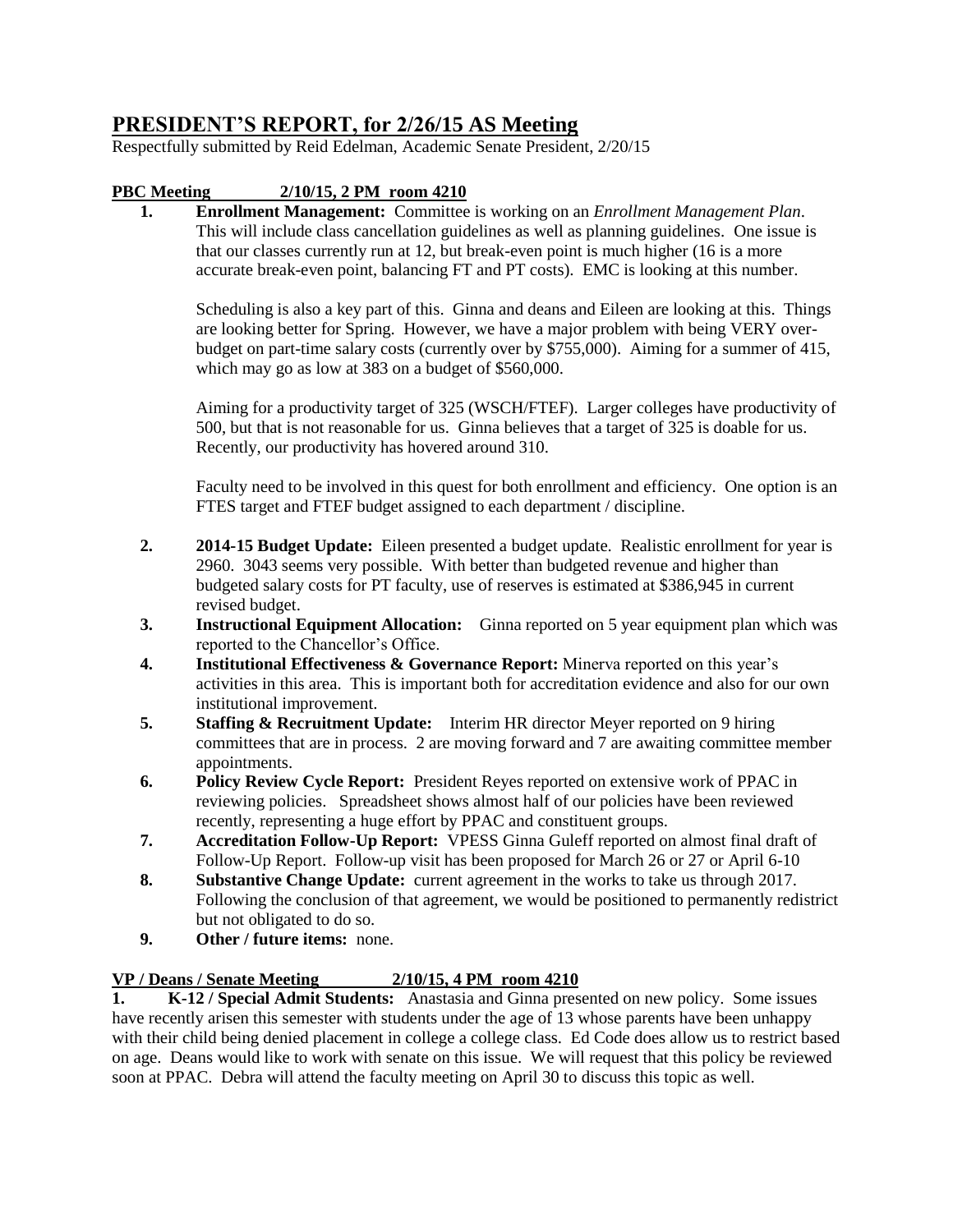# **PRESIDENT'S REPORT, for 2/26/15 AS Meeting**

Respectfully submitted by Reid Edelman, Academic Senate President, 2/20/15

# **PBC Meeting 2/10/15, 2 PM room 4210**

**1. Enrollment Management:** Committee is working on an *Enrollment Management Plan*. This will include class cancellation guidelines as well as planning guidelines.One issue is that our classes currently run at 12, but break-even point is much higher (16 is a more accurate break-even point, balancing FT and PT costs). EMC is looking at this number.

Scheduling is also a key part of this. Ginna and deans and Eileen are looking at this. Things are looking better for Spring. However, we have a major problem with being VERY overbudget on part-time salary costs (currently over by \$755,000). Aiming for a summer of 415, which may go as low at 383 on a budget of \$560,000.

Aiming for a productivity target of 325 (WSCH/FTEF). Larger colleges have productivity of 500, but that is not reasonable for us. Ginna believes that a target of 325 is doable for us. Recently, our productivity has hovered around 310.

Faculty need to be involved in this quest for both enrollment and efficiency. One option is an FTES target and FTEF budget assigned to each department / discipline.

- **2. 2014-15 Budget Update:** Eileen presented a budget update. Realistic enrollment for year is 2960. 3043 seems very possible. With better than budgeted revenue and higher than budgeted salary costs for PT faculty, use of reserves is estimated at \$386,945 in current revised budget.
- **3. Instructional Equipment Allocation:** Ginna reported on 5 year equipment plan which was reported to the Chancellor's Office.
- **4. Institutional Effectiveness & Governance Report:** Minerva reported on this year's activities in this area. This is important both for accreditation evidence and also for our own institutional improvement.
- **5. Staffing & Recruitment Update:** Interim HR director Meyer reported on 9 hiring committees that are in process. 2 are moving forward and 7 are awaiting committee member appointments.
- **6. Policy Review Cycle Report:** President Reyes reported on extensive work of PPAC in reviewing policies. Spreadsheet shows almost half of our policies have been reviewed recently, representing a huge effort by PPAC and constituent groups.
- **7. Accreditation Follow-Up Report:** VPESS Ginna Guleff reported on almost final draft of Follow-Up Report. Follow-up visit has been proposed for March 26 or 27 or April 6-10
- **8. Substantive Change Update:** current agreement in the works to take us through 2017. Following the conclusion of that agreement, we would be positioned to permanently redistrict but not obligated to do so.
- **9. Other / future items:** none.

## **VP / Deans / Senate Meeting 2/10/15, 4 PM room 4210**

**1. K-12 / Special Admit Students:** Anastasia and Ginna presented on new policy. Some issues have recently arisen this semester with students under the age of 13 whose parents have been unhappy with their child being denied placement in college a college class. Ed Code does allow us to restrict based on age. Deans would like to work with senate on this issue. We will request that this policy be reviewed soon at PPAC. Debra will attend the faculty meeting on April 30 to discuss this topic as well.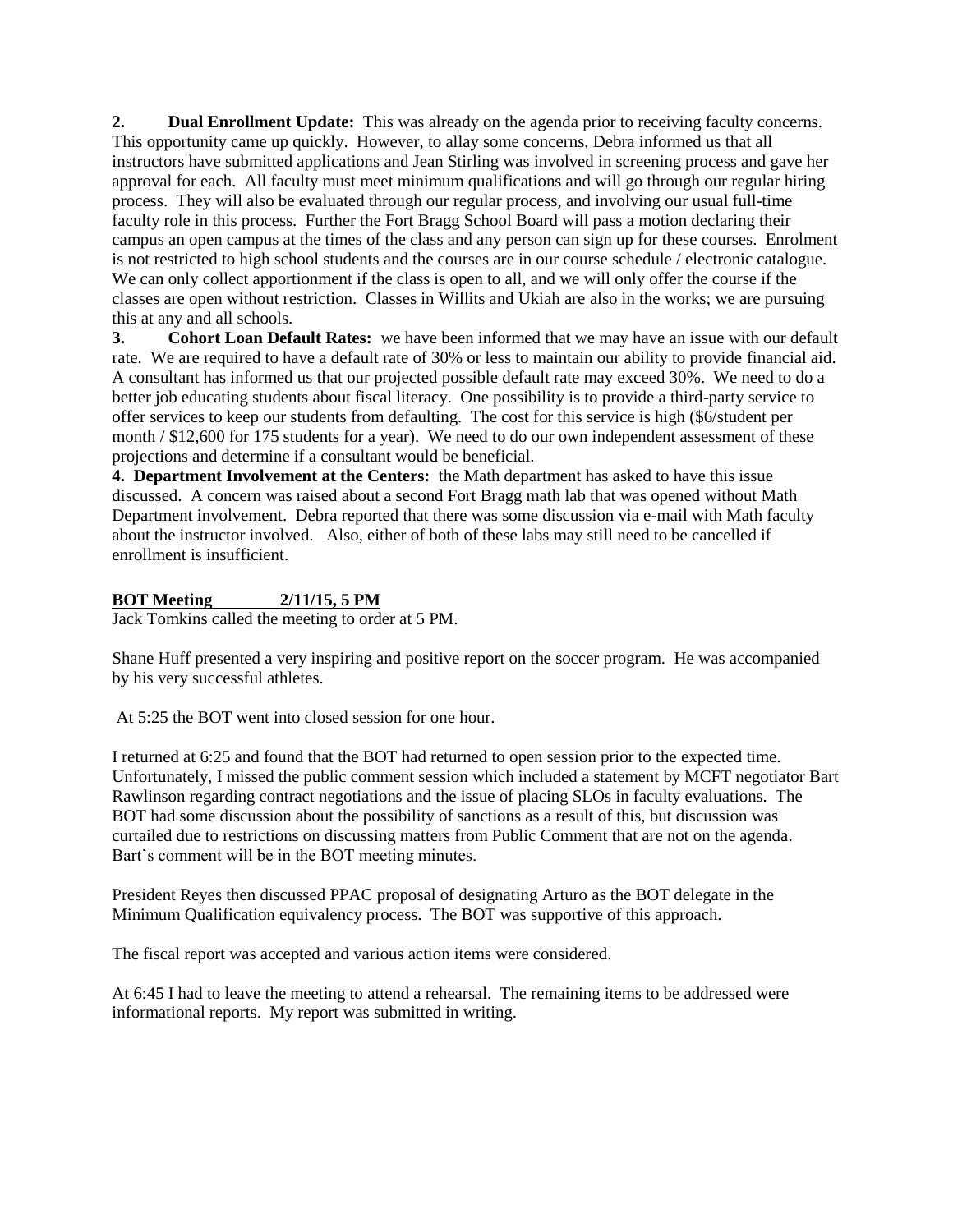**2. Dual Enrollment Update:** This was already on the agenda prior to receiving faculty concerns. This opportunity came up quickly. However, to allay some concerns, Debra informed us that all instructors have submitted applications and Jean Stirling was involved in screening process and gave her approval for each. All faculty must meet minimum qualifications and will go through our regular hiring process. They will also be evaluated through our regular process, and involving our usual full-time faculty role in this process. Further the Fort Bragg School Board will pass a motion declaring their campus an open campus at the times of the class and any person can sign up for these courses. Enrolment is not restricted to high school students and the courses are in our course schedule / electronic catalogue. We can only collect apportionment if the class is open to all, and we will only offer the course if the classes are open without restriction. Classes in Willits and Ukiah are also in the works; we are pursuing this at any and all schools.

**3. Cohort Loan Default Rates:** we have been informed that we may have an issue with our default rate. We are required to have a default rate of 30% or less to maintain our ability to provide financial aid. A consultant has informed us that our projected possible default rate may exceed 30%. We need to do a better job educating students about fiscal literacy. One possibility is to provide a third-party service to offer services to keep our students from defaulting. The cost for this service is high (\$6/student per month / \$12,600 for 175 students for a year). We need to do our own independent assessment of these projections and determine if a consultant would be beneficial.

**4. Department Involvement at the Centers:** the Math department has asked to have this issue discussed. A concern was raised about a second Fort Bragg math lab that was opened without Math Department involvement. Debra reported that there was some discussion via e-mail with Math faculty about the instructor involved. Also, either of both of these labs may still need to be cancelled if enrollment is insufficient.

## **BOT Meeting 2/11/15, 5 PM**

Jack Tomkins called the meeting to order at 5 PM.

Shane Huff presented a very inspiring and positive report on the soccer program. He was accompanied by his very successful athletes.

At 5:25 the BOT went into closed session for one hour.

I returned at 6:25 and found that the BOT had returned to open session prior to the expected time. Unfortunately, I missed the public comment session which included a statement by MCFT negotiator Bart Rawlinson regarding contract negotiations and the issue of placing SLOs in faculty evaluations. The BOT had some discussion about the possibility of sanctions as a result of this, but discussion was curtailed due to restrictions on discussing matters from Public Comment that are not on the agenda. Bart's comment will be in the BOT meeting minutes.

President Reyes then discussed PPAC proposal of designating Arturo as the BOT delegate in the Minimum Qualification equivalency process. The BOT was supportive of this approach.

The fiscal report was accepted and various action items were considered.

At 6:45 I had to leave the meeting to attend a rehearsal. The remaining items to be addressed were informational reports. My report was submitted in writing.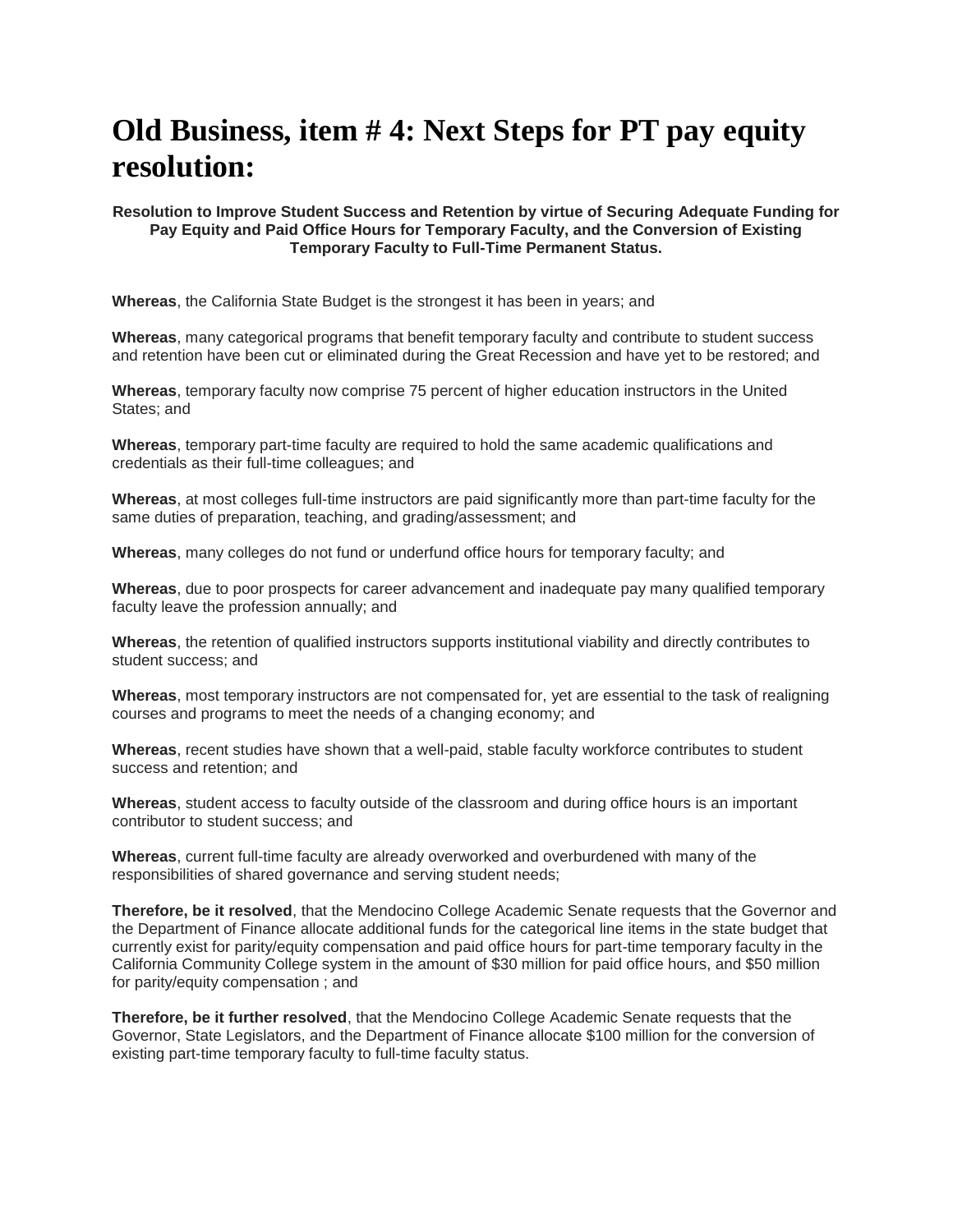# **Old Business, item # 4: Next Steps for PT pay equity resolution:**

#### **Resolution to Improve Student Success and Retention by virtue of Securing Adequate Funding for Pay Equity and Paid Office Hours for Temporary Faculty, and the Conversion of Existing Temporary Faculty to Full-Time Permanent Status.**

**Whereas**, the California State Budget is the strongest it has been in years; and

**Whereas**, many categorical programs that benefit temporary faculty and contribute to student success and retention have been cut or eliminated during the Great Recession and have yet to be restored; and

**Whereas**, temporary faculty now comprise 75 percent of higher education instructors in the United States; and

**Whereas**, temporary part-time faculty are required to hold the same academic qualifications and credentials as their full-time colleagues; and

**Whereas**, at most colleges full-time instructors are paid significantly more than part-time faculty for the same duties of preparation, teaching, and grading/assessment; and

**Whereas**, many colleges do not fund or underfund office hours for temporary faculty; and

**Whereas**, due to poor prospects for career advancement and inadequate pay many qualified temporary faculty leave the profession annually; and

**Whereas**, the retention of qualified instructors supports institutional viability and directly contributes to student success; and

**Whereas**, most temporary instructors are not compensated for, yet are essential to the task of realigning courses and programs to meet the needs of a changing economy; and

**Whereas**, recent studies have shown that a well-paid, stable faculty workforce contributes to student success and retention; and

**Whereas**, student access to faculty outside of the classroom and during office hours is an important contributor to student success; and

**Whereas**, current full-time faculty are already overworked and overburdened with many of the responsibilities of shared governance and serving student needs;

**Therefore, be it resolved**, that the Mendocino College Academic Senate requests that the Governor and the Department of Finance allocate additional funds for the categorical line items in the state budget that currently exist for parity/equity compensation and paid office hours for part-time temporary faculty in the California Community College system in the amount of \$30 million for paid office hours, and \$50 million for parity/equity compensation ; and

**Therefore, be it further resolved**, that the Mendocino College Academic Senate requests that the Governor, State Legislators, and the Department of Finance allocate \$100 million for the conversion of existing part-time temporary faculty to full-time faculty status.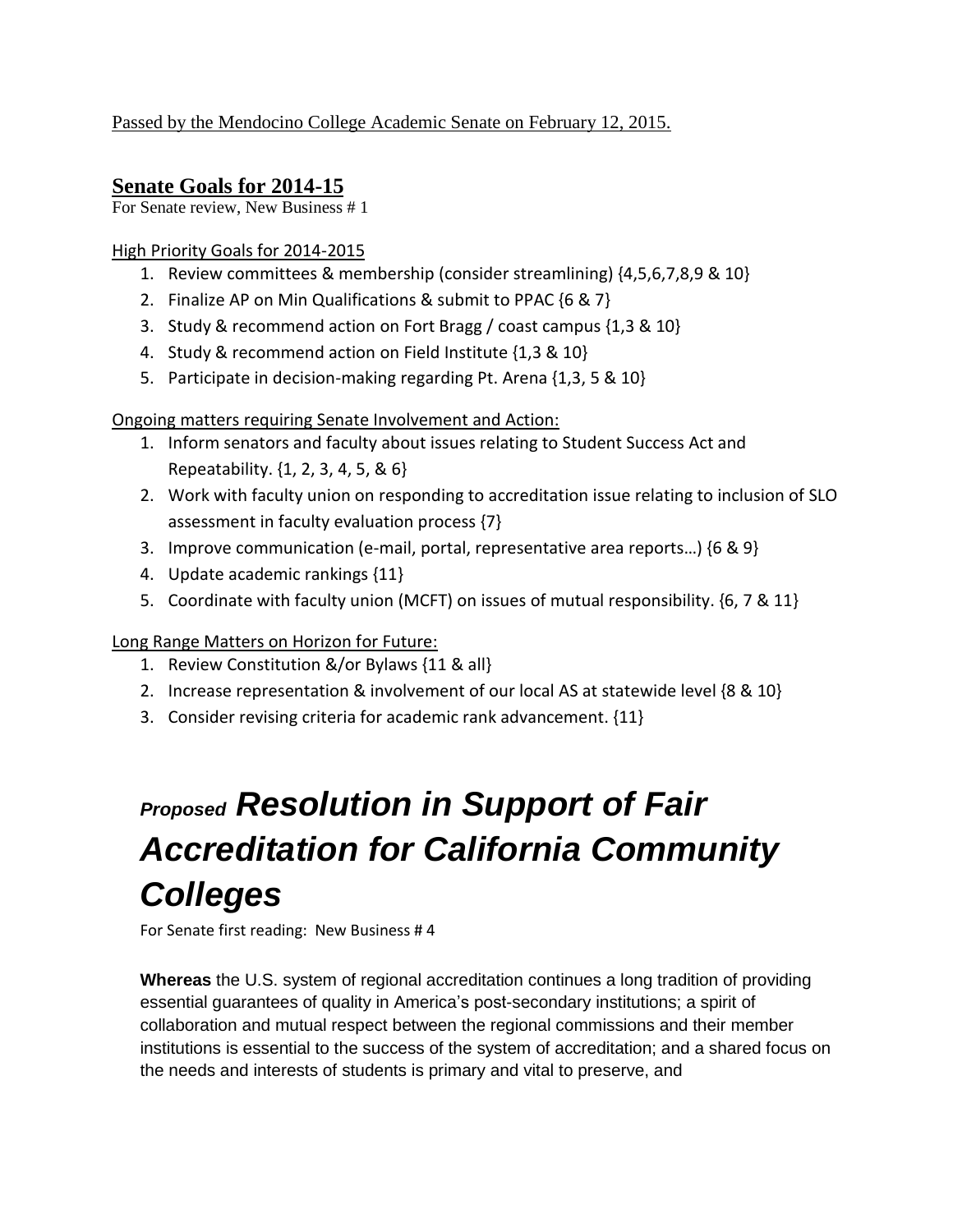# **Senate Goals for 2014-15**

For Senate review, New Business # 1

# High Priority Goals for 2014-2015

- 1. Review committees & membership (consider streamlining) {4,5,6,7,8,9 & 10}
- 2. Finalize AP on Min Qualifications & submit to PPAC {6 & 7}
- 3. Study & recommend action on Fort Bragg / coast campus {1,3 & 10}
- 4. Study & recommend action on Field Institute {1,3 & 10}
- 5. Participate in decision-making regarding Pt. Arena {1,3, 5 & 10}

Ongoing matters requiring Senate Involvement and Action:

- 1. Inform senators and faculty about issues relating to Student Success Act and Repeatability. {1, 2, 3, 4, 5, & 6}
- 2. Work with faculty union on responding to accreditation issue relating to inclusion of SLO assessment in faculty evaluation process {7}
- 3. Improve communication (e-mail, portal, representative area reports...) {6 & 9}
- 4. Update academic rankings {11}
- 5. Coordinate with faculty union (MCFT) on issues of mutual responsibility. {6, 7 & 11}

Long Range Matters on Horizon for Future:

- 1. Review Constitution &/or Bylaws {11 & all}
- 2. Increase representation & involvement of our local AS at statewide level {8 & 10}
- 3. Consider revising criteria for academic rank advancement. {11}

# *Proposed Resolution in Support of Fair Accreditation for California Community Colleges*

For Senate first reading: New Business # 4

**Whereas** the U.S. system of regional accreditation continues a long tradition of providing essential guarantees of quality in America's post-secondary institutions; a spirit of collaboration and mutual respect between the regional commissions and their member institutions is essential to the success of the system of accreditation; and a shared focus on the needs and interests of students is primary and vital to preserve, and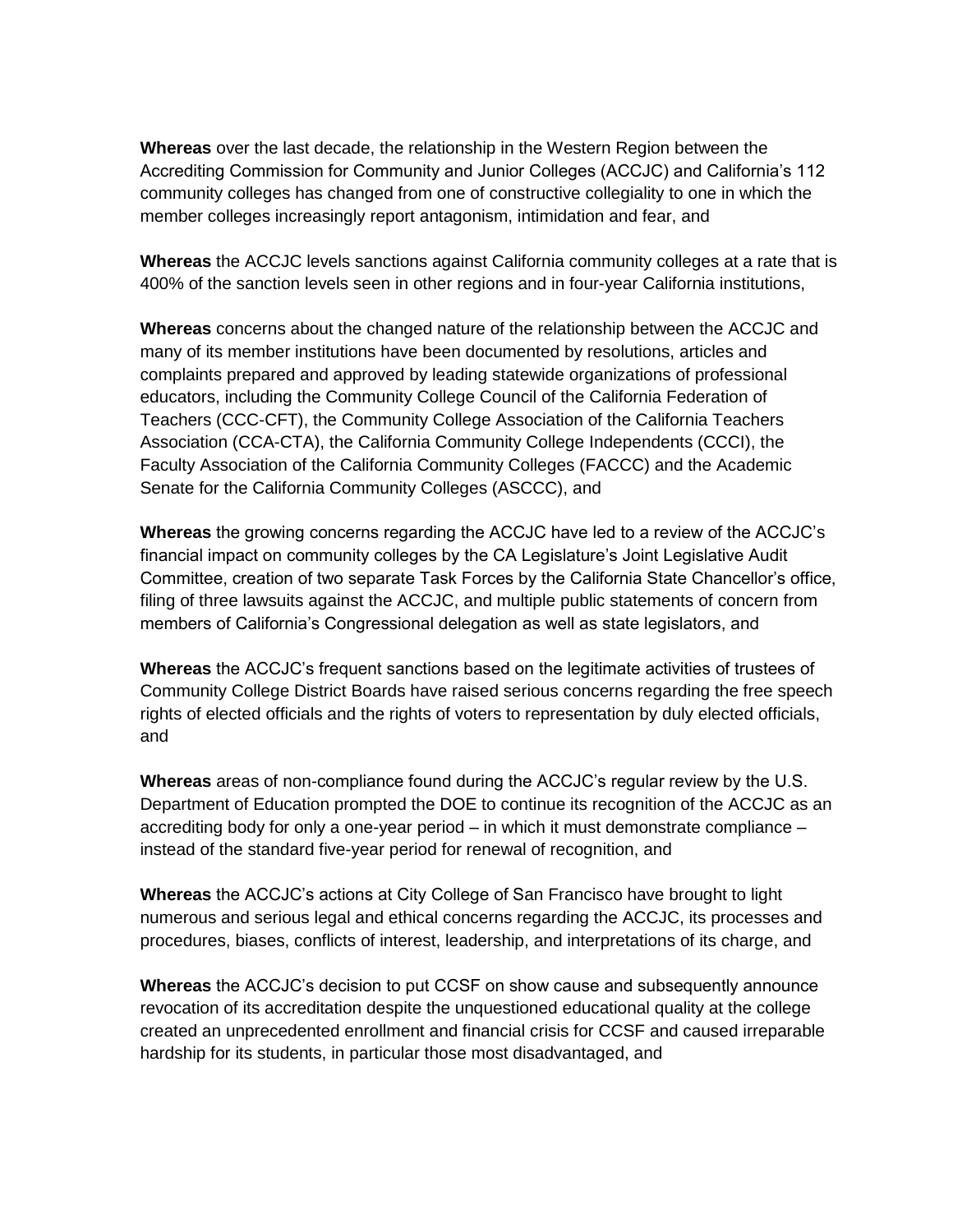**Whereas** over the last decade, the relationship in the Western Region between the Accrediting Commission for Community and Junior Colleges (ACCJC) and California's 112 community colleges has changed from one of constructive collegiality to one in which the member colleges increasingly report antagonism, intimidation and fear, and

**Whereas** the ACCJC levels sanctions against California community colleges at a rate that is 400% of the sanction levels seen in other regions and in four-year California institutions,

**Whereas** concerns about the changed nature of the relationship between the ACCJC and many of its member institutions have been documented by resolutions, articles and complaints prepared and approved by leading statewide organizations of professional educators, including the Community College Council of the California Federation of Teachers (CCC-CFT), the Community College Association of the California Teachers Association (CCA-CTA), the California Community College Independents (CCCI), the Faculty Association of the California Community Colleges (FACCC) and the Academic Senate for the California Community Colleges (ASCCC), and

**Whereas** the growing concerns regarding the ACCJC have led to a review of the ACCJC's financial impact on community colleges by the CA Legislature's Joint Legislative Audit Committee, creation of two separate Task Forces by the California State Chancellor's office, filing of three lawsuits against the ACCJC, and multiple public statements of concern from members of California's Congressional delegation as well as state legislators, and

**Whereas** the ACCJC's frequent sanctions based on the legitimate activities of trustees of Community College District Boards have raised serious concerns regarding the free speech rights of elected officials and the rights of voters to representation by duly elected officials, and

**Whereas** areas of non-compliance found during the ACCJC's regular review by the U.S. Department of Education prompted the DOE to continue its recognition of the ACCJC as an accrediting body for only a one-year period – in which it must demonstrate compliance – instead of the standard five-year period for renewal of recognition, and

**Whereas** the ACCJC's actions at City College of San Francisco have brought to light numerous and serious legal and ethical concerns regarding the ACCJC, its processes and procedures, biases, conflicts of interest, leadership, and interpretations of its charge, and

**Whereas** the ACCJC's decision to put CCSF on show cause and subsequently announce revocation of its accreditation despite the unquestioned educational quality at the college created an unprecedented enrollment and financial crisis for CCSF and caused irreparable hardship for its students, in particular those most disadvantaged, and